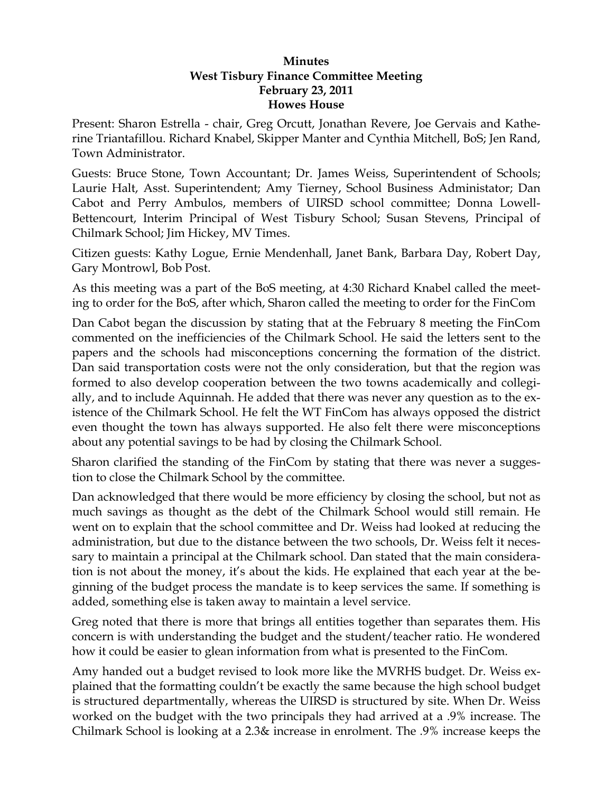## **Minutes West Tisbury Finance Committee Meeting February 23, 2011 Howes House**

Present: Sharon Estrella - chair, Greg Orcutt, Jonathan Revere, Joe Gervais and Katherine Triantafillou. Richard Knabel, Skipper Manter and Cynthia Mitchell, BoS; Jen Rand, Town Administrator.

Guests: Bruce Stone, Town Accountant; Dr. James Weiss, Superintendent of Schools; Laurie Halt, Asst. Superintendent; Amy Tierney, School Business Administator; Dan Cabot and Perry Ambulos, members of UIRSD school committee; Donna Lowell-Bettencourt, Interim Principal of West Tisbury School; Susan Stevens, Principal of Chilmark School; Jim Hickey, MV Times.

Citizen guests: Kathy Logue, Ernie Mendenhall, Janet Bank, Barbara Day, Robert Day, Gary Montrowl, Bob Post.

As this meeting was a part of the BoS meeting, at 4:30 Richard Knabel called the meeting to order for the BoS, after which, Sharon called the meeting to order for the FinCom

Dan Cabot began the discussion by stating that at the February 8 meeting the FinCom commented on the inefficiencies of the Chilmark School. He said the letters sent to the papers and the schools had misconceptions concerning the formation of the district. Dan said transportation costs were not the only consideration, but that the region was formed to also develop cooperation between the two towns academically and collegially, and to include Aquinnah. He added that there was never any question as to the existence of the Chilmark School. He felt the WT FinCom has always opposed the district even thought the town has always supported. He also felt there were misconceptions about any potential savings to be had by closing the Chilmark School.

Sharon clarified the standing of the FinCom by stating that there was never a suggestion to close the Chilmark School by the committee.

Dan acknowledged that there would be more efficiency by closing the school, but not as much savings as thought as the debt of the Chilmark School would still remain. He went on to explain that the school committee and Dr. Weiss had looked at reducing the administration, but due to the distance between the two schools, Dr. Weiss felt it necessary to maintain a principal at the Chilmark school. Dan stated that the main consideration is not about the money, it's about the kids. He explained that each year at the beginning of the budget process the mandate is to keep services the same. If something is added, something else is taken away to maintain a level service.

Greg noted that there is more that brings all entities together than separates them. His concern is with understanding the budget and the student/teacher ratio. He wondered how it could be easier to glean information from what is presented to the FinCom.

Amy handed out a budget revised to look more like the MVRHS budget. Dr. Weiss explained that the formatting couldn't be exactly the same because the high school budget is structured departmentally, whereas the UIRSD is structured by site. When Dr. Weiss worked on the budget with the two principals they had arrived at a .9% increase. The Chilmark School is looking at a 2.3& increase in enrolment. The .9% increase keeps the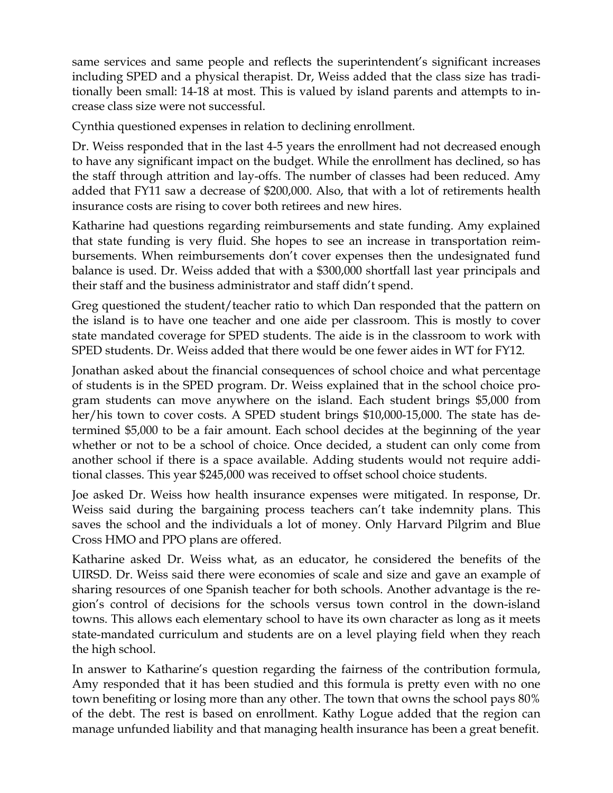same services and same people and reflects the superintendent's significant increases including SPED and a physical therapist. Dr, Weiss added that the class size has traditionally been small: 14-18 at most. This is valued by island parents and attempts to increase class size were not successful.

Cynthia questioned expenses in relation to declining enrollment.

Dr. Weiss responded that in the last 4-5 years the enrollment had not decreased enough to have any significant impact on the budget. While the enrollment has declined, so has the staff through attrition and lay-offs. The number of classes had been reduced. Amy added that FY11 saw a decrease of \$200,000. Also, that with a lot of retirements health insurance costs are rising to cover both retirees and new hires.

Katharine had questions regarding reimbursements and state funding. Amy explained that state funding is very fluid. She hopes to see an increase in transportation reimbursements. When reimbursements don't cover expenses then the undesignated fund balance is used. Dr. Weiss added that with a \$300,000 shortfall last year principals and their staff and the business administrator and staff didn't spend.

Greg questioned the student/teacher ratio to which Dan responded that the pattern on the island is to have one teacher and one aide per classroom. This is mostly to cover state mandated coverage for SPED students. The aide is in the classroom to work with SPED students. Dr. Weiss added that there would be one fewer aides in WT for FY12.

Jonathan asked about the financial consequences of school choice and what percentage of students is in the SPED program. Dr. Weiss explained that in the school choice program students can move anywhere on the island. Each student brings \$5,000 from her/his town to cover costs. A SPED student brings \$10,000-15,000. The state has determined \$5,000 to be a fair amount. Each school decides at the beginning of the year whether or not to be a school of choice. Once decided, a student can only come from another school if there is a space available. Adding students would not require additional classes. This year \$245,000 was received to offset school choice students.

Joe asked Dr. Weiss how health insurance expenses were mitigated. In response, Dr. Weiss said during the bargaining process teachers can't take indemnity plans. This saves the school and the individuals a lot of money. Only Harvard Pilgrim and Blue Cross HMO and PPO plans are offered.

Katharine asked Dr. Weiss what, as an educator, he considered the benefits of the UIRSD. Dr. Weiss said there were economies of scale and size and gave an example of sharing resources of one Spanish teacher for both schools. Another advantage is the region's control of decisions for the schools versus town control in the down-island towns. This allows each elementary school to have its own character as long as it meets state-mandated curriculum and students are on a level playing field when they reach the high school.

In answer to Katharine's question regarding the fairness of the contribution formula, Amy responded that it has been studied and this formula is pretty even with no one town benefiting or losing more than any other. The town that owns the school pays 80% of the debt. The rest is based on enrollment. Kathy Logue added that the region can manage unfunded liability and that managing health insurance has been a great benefit.